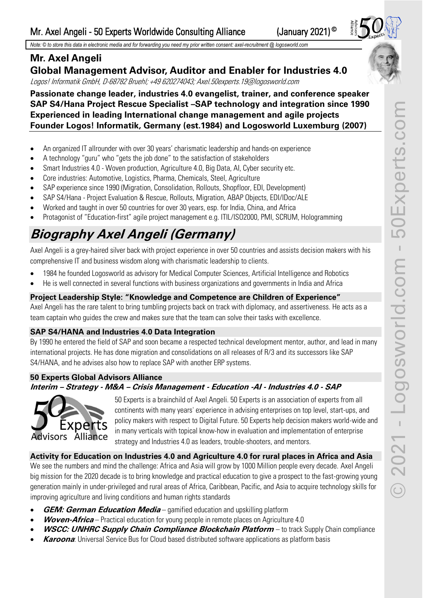*Note: © to store this data in electronic media and for forwarding you need my prior written consent: axel-recruitment @ logosworld.com*

# **Mr. Axel Angeli**

# **Global Management Advisor, Auditor and Enabler for Industries 4.0**

Logos! Informatik GmbH, D-68782 Bruehl; +49 620274043; Axel.50experts.19@logosworld.com

## **Passionate change leader, industries 4.0 evangelist, trainer, and conference speaker SAP S4/Hana Project Rescue Specialist –SAP technology and integration since 1990 Experienced in leading International change management and agile projects Founder Logos! Informatik, Germany (est.1984) and Logosworld Luxemburg (2007)**

- An organized IT allrounder with over 30 years' charismatic leadership and hands-on experience
- A technology "guru" who "gets the job done" to the satisfaction of stakeholders
- Smart Industries 4.0 Woven production, Agriculture 4.0, Big Data, AI, Cyber security etc.
- Core industries: Automotive, Logistics, Pharma, Chemicals, Steel, Agriculture
- SAP experience since 1990 (Migration, Consolidation, Rollouts, Shopfloor, EDI, Development)
- SAP S4/Hana Project Evaluation & Rescue, Rollouts, Migration, ABAP Objects, EDI/IDoc/ALE
- Worked and taught in over 50 countries for over 30 years, esp. for India, China, and Africa
- Protagonist of "Education-first" agile project management e.g. ITIL/ISO2000, PMI, SCRUM, Hologramming

# **Biography Axel Angeli (Germany)**

Axel Angeli is a grey-haired silver back with project experience in over 50 countries and assists decision makers with his comprehensive IT and business wisdom along with charismatic leadership to clients.

- 1984 he founded Logosworld as advisory for Medical Computer Sciences, Artificial Intelligence and Robotics
- He is well connected in several functions with business organizations and governments in India and Africa

# **Project Leadership Style: "Knowledge and Competence are Children of Experience"**

Axel Angeli has the rare talent to bring tumbling projects back on track with diplomacy, and assertiveness. He acts as a team captain who guides the crew and makes sure that the team can solve their tasks with excellence.

# **SAP S4/HANA and Industries 4.0 Data Integration**

By 1990 he entered the field of SAP and soon became a respected technical development mentor, author, and lead in many international projects. He has done migration and consolidations on all releases of R/3 and its successors like SAP S4/HANA, and he advises also how to replace SAP with another ERP systems.

# **50 Experts Global Advisors Alliance**

# **Interim – Strategy - M&A – Crisis Management - Education -AI - Industries 4.0 - SAP**



50 Experts is a brainchild of Axel Angeli. 50 Experts is an association of experts from all continents with many years' experience in advising enterprises on top level, start-ups, and policy makers with respect to Digital Future. 50 Experts help decision makers world-wide and in many verticals with topical know-how in evaluation and implementation of enterprise strategy and Industries 4.0 as leaders, trouble-shooters, and mentors.

# **Activity for Education on Industries 4.0 and Agriculture 4.0 for rural places in Africa and Asia**

We see the numbers and mind the challenge: Africa and Asia will grow by 1000 Million people every decade. Axel Angeli big mission for the 2020 decade is to bring knowledge and practical education to give a prospect to the fast-growing young generation mainly in under-privileged and rural areas of Africa, Caribbean, Pacific, and Asia to acquire technology skills for improving agriculture and living conditions and human rights standards

- **GEM: German Education Media** gamified education and upskilling platform
- **Woven-Africa** Practical education for young people in remote places on Agriculture 4.0
- **WSCC: UNHRC Supply Chain Compliance Blockchain Platform**  to track Supply Chain compliance
- **Karoona**: Universal Service Bus for Cloud based distributed software applications as platform basis



(January 2021)<sup>©</sup>

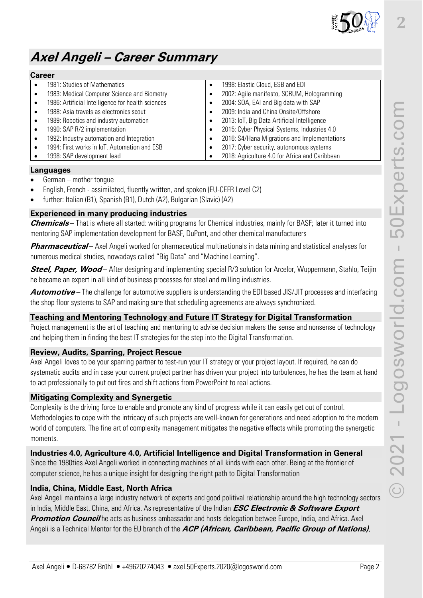

**2**

# **Axel Angeli – Career Summary**

#### **Career**

|  | 1981: Studies of Mathematics                      |           | 1998: Elastic Cloud, ESB and EDI               |
|--|---------------------------------------------------|-----------|------------------------------------------------|
|  | 1983: Medical Computer Science and Biometry       |           | 2002: Agile manifesto, SCRUM, Hologramming     |
|  | 1986: Artificial Intelligence for health sciences | $\bullet$ | 2004: SOA, EAI and Big data with SAP           |
|  | 1988: Asia travels as electronics scout           |           | 2009: India and China Onsite/Offshore          |
|  | 1989: Robotics and industry automation            |           | 2013: IoT, Big Data Artificial Intelligence    |
|  | 1990: SAP R/2 implementation                      | $\bullet$ | 2015: Cyber Physical Systems, Industries 4.0   |
|  | 1992: Industry automation and Integration         | $\bullet$ | 2016: S4/Hana Migrations and Implementations   |
|  | 1994: First works in IoT, Automation and ESB      |           | 2017: Cyber security, autonomous systems       |
|  | 1998: SAP development lead                        |           | 2018: Agriculture 4.0 for Africa and Caribbean |
|  |                                                   |           |                                                |

## **Languages**

- German mother tongue
- English, French assimilated, fluently written, and spoken (EU-CEFR Level C2)
- further: Italian (B1), Spanish (B1), Dutch (A2), Bulgarian (Slavic) (A2)

## **Experienced in many producing industries**

**Chemicals** – That is where all started: writing programs for Chemical industries, mainly for BASF; later it turned into mentoring SAP implementation development for BASF, DuPont, and other chemical manufacturers

**Pharmaceutical** – Axel Angeli worked for pharmaceutical multinationals in data mining and statistical analyses for numerous medical studies, nowadays called "Big Data" and "Machine Learning".

**Steel, Paper, Wood** – After designing and implementing special R/3 solution for Arcelor, Wuppermann, Stahlo, Teijin he became an expert in all kind of business processes for steel and milling industries.

**Automotive** – The challenge for automotive suppliers is understanding the EDI based JIS/JIT processes and interfacing the shop floor systems to SAP and making sure that scheduling agreements are always synchronized.

## **Teaching and Mentoring Technology and Future IT Strategy for Digital Transformation**

Project management is the art of teaching and mentoring to advise decision makers the sense and nonsense of technology and helping them in finding the best IT strategies for the step into the Digital Transformation.

## **Review, Audits, Sparring, Project Rescue**

Axel Angeli loves to be your sparring partner to test-run your IT strategy or your project layout. If required, he can do systematic audits and in case your current project partner has driven your project into turbulences, he has the team at hand to act professionally to put out fires and shift actions from PowerPoint to real actions.

## **Mitigating Complexity and Synergetic**

Complexity is the driving force to enable and promote any kind of progress while it can easily get out of control. Methodologies to cope with the intricacy of such projects are well-known for generations and need adoption to the modern world of computers. The fine art of complexity management mitigates the negative effects while promoting the synergetic moments.

## **Industries 4.0, Agriculture 4.0, Artificial Intelligence and Digital Transformation in General**

Since the 1980ties Axel Angeli worked in connecting machines of all kinds with each other. Being at the frontier of computer science, he has a unique insight for designing the right path to Digital Transformation

## **India, China, Middle East, North Africa**

Axel Angeli maintains a large industry network of experts and good politival relationship around the high technology sectors in India, Middle East, China, and Africa. As representative of the Indian **ESC Electronic & Software Export Promotion Council** he acts as business ambassador and hosts delegation betwee Europe, India, and Africa. Axel Angeli is a Technical Mentor for the EU branch of the **ACP (African, Caribbean, Pacific Group of Nations)**,